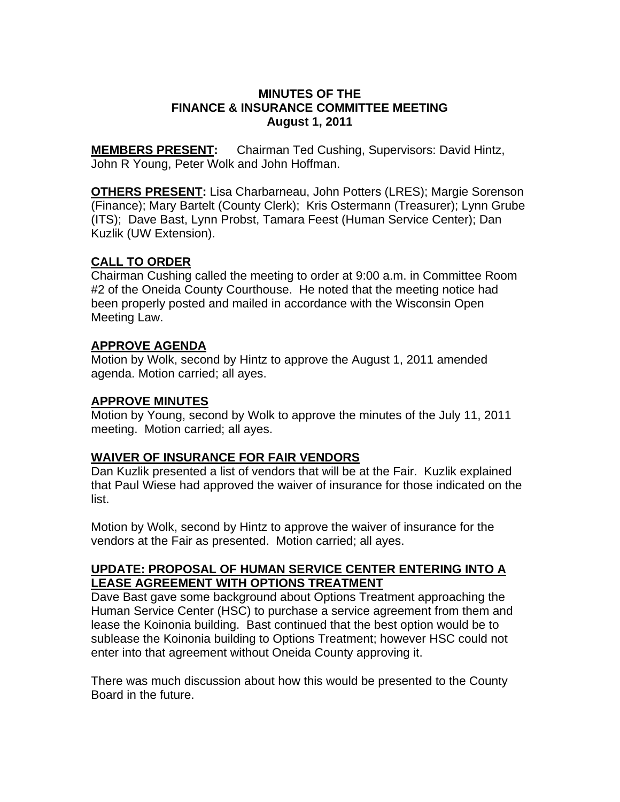## **MINUTES OF THE FINANCE & INSURANCE COMMITTEE MEETING August 1, 2011**

**MEMBERS PRESENT:** Chairman Ted Cushing, Supervisors: David Hintz, John R Young, Peter Wolk and John Hoffman.

**OTHERS PRESENT:** Lisa Charbarneau, John Potters (LRES); Margie Sorenson (Finance); Mary Bartelt (County Clerk); Kris Ostermann (Treasurer); Lynn Grube (ITS); Dave Bast, Lynn Probst, Tamara Feest (Human Service Center); Dan Kuzlik (UW Extension).

# **CALL TO ORDER**

Chairman Cushing called the meeting to order at 9:00 a.m. in Committee Room #2 of the Oneida County Courthouse. He noted that the meeting notice had been properly posted and mailed in accordance with the Wisconsin Open Meeting Law.

# **APPROVE AGENDA**

Motion by Wolk, second by Hintz to approve the August 1, 2011 amended agenda. Motion carried; all ayes.

# **APPROVE MINUTES**

Motion by Young, second by Wolk to approve the minutes of the July 11, 2011 meeting. Motion carried; all ayes.

# **WAIVER OF INSURANCE FOR FAIR VENDORS**

Dan Kuzlik presented a list of vendors that will be at the Fair. Kuzlik explained that Paul Wiese had approved the waiver of insurance for those indicated on the list.

Motion by Wolk, second by Hintz to approve the waiver of insurance for the vendors at the Fair as presented. Motion carried; all ayes.

## **UPDATE: PROPOSAL OF HUMAN SERVICE CENTER ENTERING INTO A LEASE AGREEMENT WITH OPTIONS TREATMENT**

Dave Bast gave some background about Options Treatment approaching the Human Service Center (HSC) to purchase a service agreement from them and lease the Koinonia building. Bast continued that the best option would be to sublease the Koinonia building to Options Treatment; however HSC could not enter into that agreement without Oneida County approving it.

There was much discussion about how this would be presented to the County Board in the future.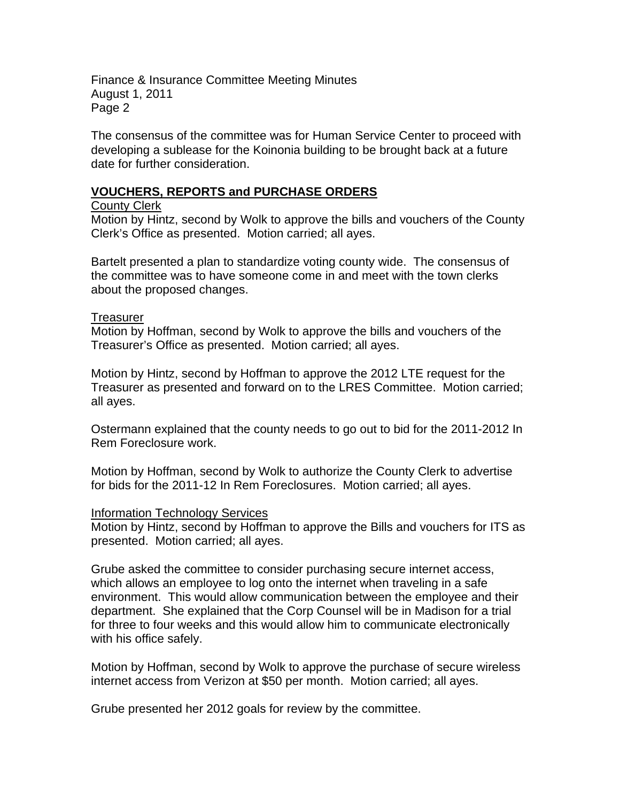Finance & Insurance Committee Meeting Minutes August 1, 2011 Page 2

The consensus of the committee was for Human Service Center to proceed with developing a sublease for the Koinonia building to be brought back at a future date for further consideration.

## **VOUCHERS, REPORTS and PURCHASE ORDERS**

#### County Clerk

Motion by Hintz, second by Wolk to approve the bills and vouchers of the County Clerk's Office as presented. Motion carried; all ayes.

Bartelt presented a plan to standardize voting county wide. The consensus of the committee was to have someone come in and meet with the town clerks about the proposed changes.

### Treasurer

Motion by Hoffman, second by Wolk to approve the bills and vouchers of the Treasurer's Office as presented. Motion carried; all ayes.

Motion by Hintz, second by Hoffman to approve the 2012 LTE request for the Treasurer as presented and forward on to the LRES Committee. Motion carried; all ayes.

Ostermann explained that the county needs to go out to bid for the 2011-2012 In Rem Foreclosure work.

Motion by Hoffman, second by Wolk to authorize the County Clerk to advertise for bids for the 2011-12 In Rem Foreclosures. Motion carried; all ayes.

#### Information Technology Services

Motion by Hintz, second by Hoffman to approve the Bills and vouchers for ITS as presented. Motion carried; all ayes.

Grube asked the committee to consider purchasing secure internet access, which allows an employee to log onto the internet when traveling in a safe environment. This would allow communication between the employee and their department. She explained that the Corp Counsel will be in Madison for a trial for three to four weeks and this would allow him to communicate electronically with his office safely.

Motion by Hoffman, second by Wolk to approve the purchase of secure wireless internet access from Verizon at \$50 per month. Motion carried; all ayes.

Grube presented her 2012 goals for review by the committee.